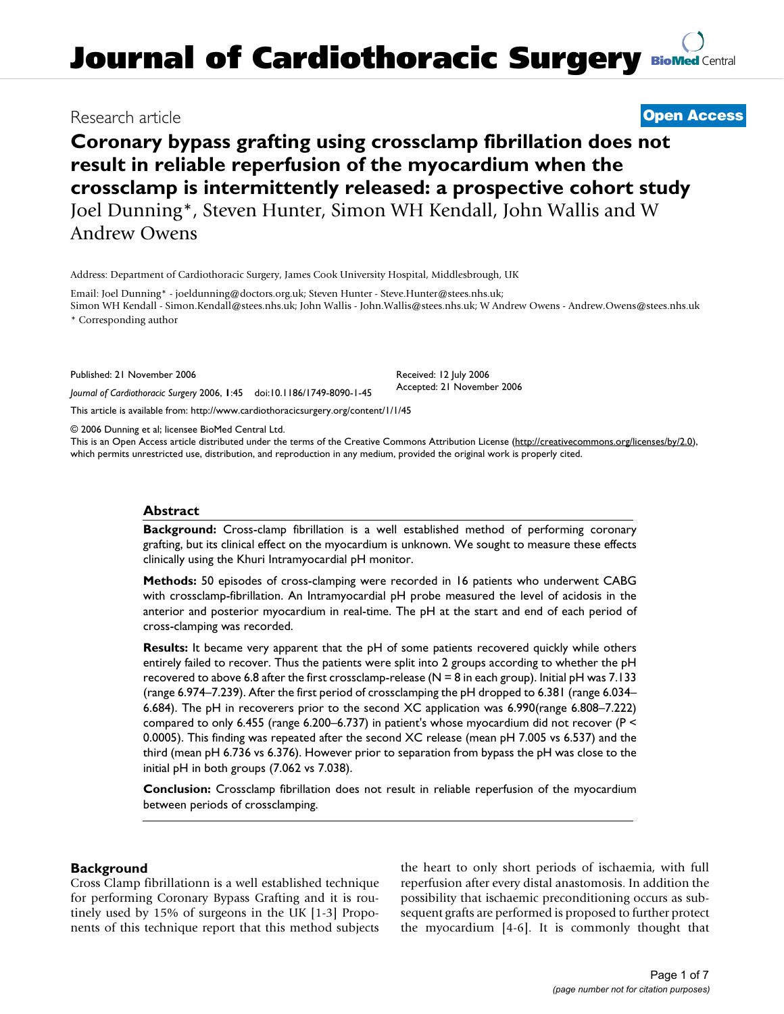# **Journal of Cardiothoracic Surgery [BioMed](http://www.biomedcentral.com/) Central**

## **Coronary bypass grafting using crossclamp fibrillation does not result in reliable reperfusion of the myocardium when the crossclamp is intermittently released: a prospective cohort study** Joel Dunning\*, Steven Hunter, Simon WH Kendall, John Wallis and W Andrew Owens

Address: Department of Cardiothoracic Surgery, James Cook University Hospital, Middlesbrough, UK

Email: Joel Dunning\* - joeldunning@doctors.org.uk; Steven Hunter - Steve.Hunter@stees.nhs.uk; Simon WH Kendall - Simon.Kendall@stees.nhs.uk; John Wallis - John.Wallis@stees.nhs.uk; W Andrew Owens - Andrew.Owens@stees.nhs.uk \* Corresponding author

> Received: 12 July 2006 Accepted: 21 November 2006

Published: 21 November 2006

*Journal of Cardiothoracic Surgery* 2006, **1**:45 doi:10.1186/1749-8090-1-45

[This article is available from: http://www.cardiothoracicsurgery.org/content/1/1/45](http://www.cardiothoracicsurgery.org/content/1/1/45)

© 2006 Dunning et al; licensee BioMed Central Ltd.

This is an Open Access article distributed under the terms of the Creative Commons Attribution License [\(http://creativecommons.org/licenses/by/2.0\)](http://creativecommons.org/licenses/by/2.0), which permits unrestricted use, distribution, and reproduction in any medium, provided the original work is properly cited.

#### **Abstract**

**Background:** Cross-clamp fibrillation is a well established method of performing coronary grafting, but its clinical effect on the myocardium is unknown. We sought to measure these effects clinically using the Khuri Intramyocardial pH monitor.

**Methods:** 50 episodes of cross-clamping were recorded in 16 patients who underwent CABG with crossclamp-fibrillation. An Intramyocardial pH probe measured the level of acidosis in the anterior and posterior myocardium in real-time. The pH at the start and end of each period of cross-clamping was recorded.

**Results:** It became very apparent that the pH of some patients recovered quickly while others entirely failed to recover. Thus the patients were split into 2 groups according to whether the pH recovered to above 6.8 after the first crossclamp-release (N = 8 in each group). Initial pH was 7.133 (range 6.974–7.239). After the first period of crossclamping the pH dropped to 6.381 (range 6.034– 6.684). The pH in recoverers prior to the second XC application was 6.990(range 6.808–7.222) compared to only 6.455 (range 6.200–6.737) in patient's whose myocardium did not recover (P < 0.0005). This finding was repeated after the second XC release (mean pH 7.005 vs 6.537) and the third (mean pH 6.736 vs 6.376). However prior to separation from bypass the pH was close to the initial pH in both groups (7.062 vs 7.038).

**Conclusion:** Crossclamp fibrillation does not result in reliable reperfusion of the myocardium between periods of crossclamping.

#### **Background**

Cross Clamp fibrillationn is a well established technique for performing Coronary Bypass Grafting and it is routinely used by 15% of surgeons in the UK [1-3] Proponents of this technique report that this method subjects the heart to only short periods of ischaemia, with full reperfusion after every distal anastomosis. In addition the possibility that ischaemic preconditioning occurs as subsequent grafts are performed is proposed to further protect the myocardium [4-6]. It is commonly thought that

Research article **[Open Access](http://www.biomedcentral.com/info/about/charter/)**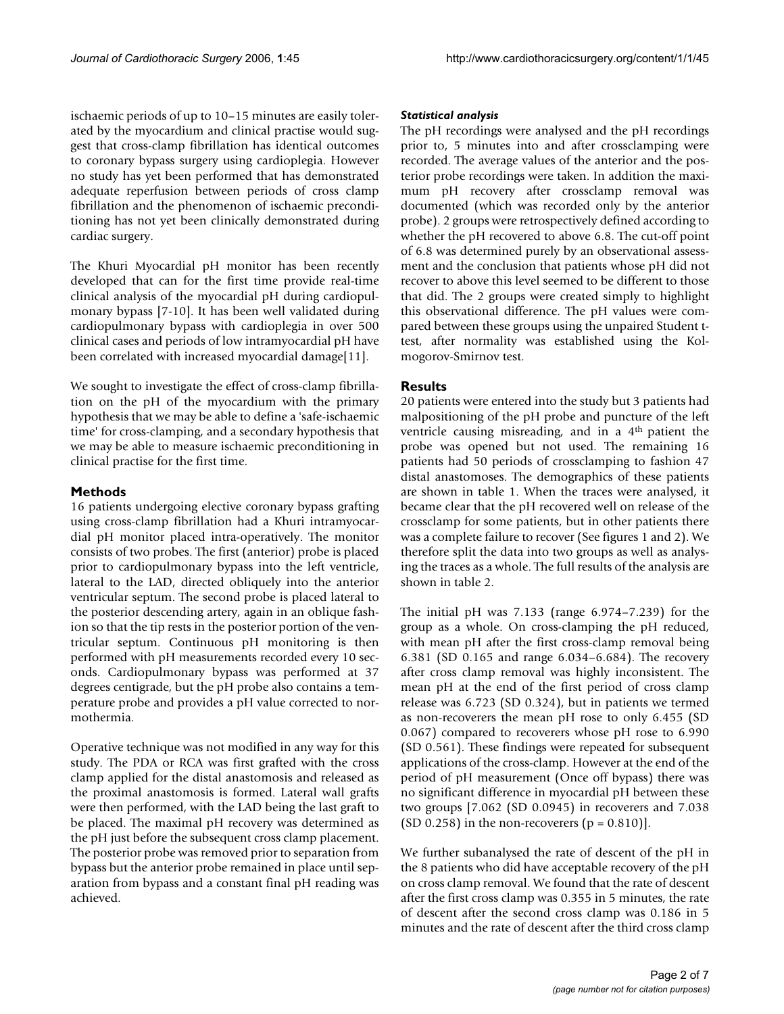ischaemic periods of up to 10–15 minutes are easily tolerated by the myocardium and clinical practise would suggest that cross-clamp fibrillation has identical outcomes to coronary bypass surgery using cardioplegia. However no study has yet been performed that has demonstrated adequate reperfusion between periods of cross clamp fibrillation and the phenomenon of ischaemic preconditioning has not yet been clinically demonstrated during cardiac surgery.

The Khuri Myocardial pH monitor has been recently developed that can for the first time provide real-time clinical analysis of the myocardial pH during cardiopulmonary bypass [7-10]. It has been well validated during cardiopulmonary bypass with cardioplegia in over 500 clinical cases and periods of low intramyocardial pH have been correlated with increased myocardial damage[11].

We sought to investigate the effect of cross-clamp fibrillation on the pH of the myocardium with the primary hypothesis that we may be able to define a 'safe-ischaemic time' for cross-clamping, and a secondary hypothesis that we may be able to measure ischaemic preconditioning in clinical practise for the first time.

### **Methods**

16 patients undergoing elective coronary bypass grafting using cross-clamp fibrillation had a Khuri intramyocardial pH monitor placed intra-operatively. The monitor consists of two probes. The first (anterior) probe is placed prior to cardiopulmonary bypass into the left ventricle, lateral to the LAD, directed obliquely into the anterior ventricular septum. The second probe is placed lateral to the posterior descending artery, again in an oblique fashion so that the tip rests in the posterior portion of the ventricular septum. Continuous pH monitoring is then performed with pH measurements recorded every 10 seconds. Cardiopulmonary bypass was performed at 37 degrees centigrade, but the pH probe also contains a temperature probe and provides a pH value corrected to normothermia.

Operative technique was not modified in any way for this study. The PDA or RCA was first grafted with the cross clamp applied for the distal anastomosis and released as the proximal anastomosis is formed. Lateral wall grafts were then performed, with the LAD being the last graft to be placed. The maximal pH recovery was determined as the pH just before the subsequent cross clamp placement. The posterior probe was removed prior to separation from bypass but the anterior probe remained in place until separation from bypass and a constant final pH reading was achieved.

#### *Statistical analysis*

The pH recordings were analysed and the pH recordings prior to, 5 minutes into and after crossclamping were recorded. The average values of the anterior and the posterior probe recordings were taken. In addition the maximum pH recovery after crossclamp removal was documented (which was recorded only by the anterior probe). 2 groups were retrospectively defined according to whether the pH recovered to above 6.8. The cut-off point of 6.8 was determined purely by an observational assessment and the conclusion that patients whose pH did not recover to above this level seemed to be different to those that did. The 2 groups were created simply to highlight this observational difference. The pH values were compared between these groups using the unpaired Student ttest, after normality was established using the Kolmogorov-Smirnov test.

### **Results**

20 patients were entered into the study but 3 patients had malpositioning of the pH probe and puncture of the left ventricle causing misreading, and in a 4th patient the probe was opened but not used. The remaining 16 patients had 50 periods of crossclamping to fashion 47 distal anastomoses. The demographics of these patients are shown in table 1. When the traces were analysed, it became clear that the pH recovered well on release of the crossclamp for some patients, but in other patients there was a complete failure to recover (See figures 1 and 2). We therefore split the data into two groups as well as analysing the traces as a whole. The full results of the analysis are shown in table 2.

The initial pH was 7.133 (range 6.974–7.239) for the group as a whole. On cross-clamping the pH reduced, with mean pH after the first cross-clamp removal being 6.381 (SD 0.165 and range 6.034–6.684). The recovery after cross clamp removal was highly inconsistent. The mean pH at the end of the first period of cross clamp release was 6.723 (SD 0.324), but in patients we termed as non-recoverers the mean pH rose to only 6.455 (SD 0.067) compared to recoverers whose pH rose to 6.990 (SD 0.561). These findings were repeated for subsequent applications of the cross-clamp. However at the end of the period of pH measurement (Once off bypass) there was no significant difference in myocardial pH between these two groups [7.062 (SD 0.0945) in recoverers and 7.038 (SD 0.258) in the non-recoverers  $(p = 0.810)$ ].

We further subanalysed the rate of descent of the pH in the 8 patients who did have acceptable recovery of the pH on cross clamp removal. We found that the rate of descent after the first cross clamp was 0.355 in 5 minutes, the rate of descent after the second cross clamp was 0.186 in 5 minutes and the rate of descent after the third cross clamp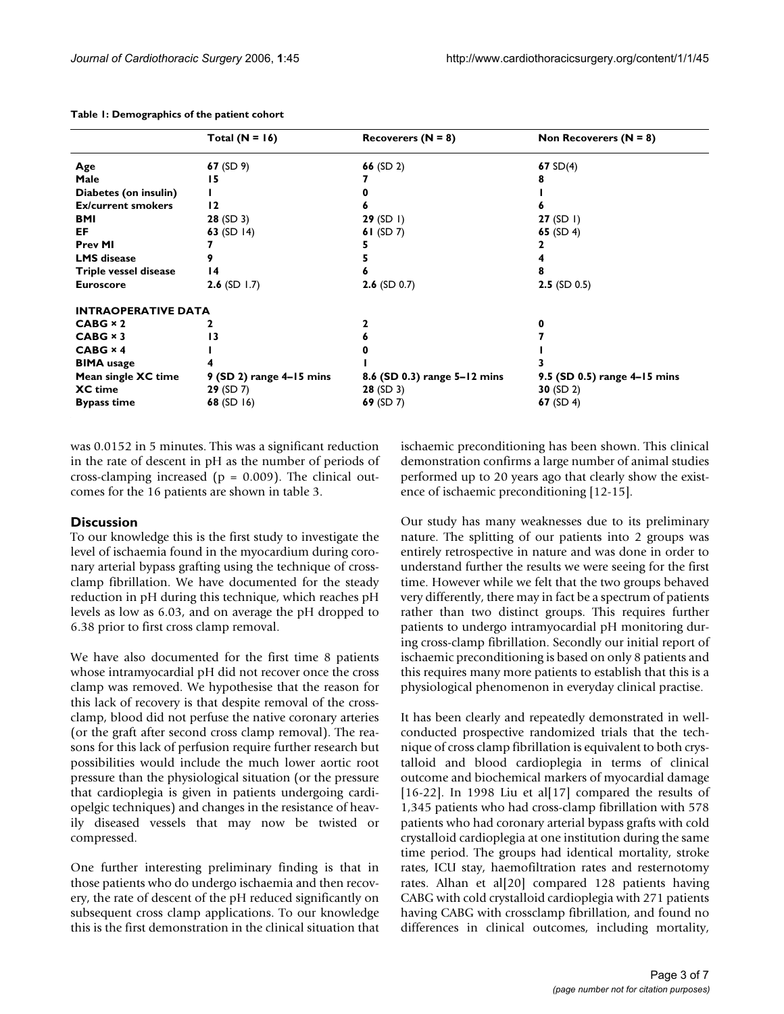|                            | Total $(N = 16)$           | Recoverers $(N = 8)$         | Non Recoverers $(N = 8)$     |
|----------------------------|----------------------------|------------------------------|------------------------------|
| Age                        | 67 $(SD 9)$                | 66 $(SD 2)$                  | 67 $SD(4)$                   |
| Male                       | 15                         |                              |                              |
| Diabetes (on insulin)      |                            |                              |                              |
| <b>Ex/current smokers</b>  | 12                         |                              |                              |
| BMI                        | 28(SD3)                    | 29 (SD I)                    | 27 (SD I)                    |
| EF                         | 63 $(SD14)$                | 61 $(SD 7)$                  | 65 $(SD 4)$                  |
| <b>Prev MI</b>             |                            |                              |                              |
| <b>LMS</b> disease         |                            |                              |                              |
| Triple vessel disease      | 14                         |                              |                              |
| <b>Euroscore</b>           | <b>2.6</b> (SD 1.7)        | <b>2.6</b> (SD 0.7)          | $2.5$ (SD 0.5)               |
| <b>INTRAOPERATIVE DATA</b> |                            |                              |                              |
| $CABG \times 2$            | 2                          |                              | 0                            |
| $CABG \times 3$            | 13                         |                              |                              |
| $CABG \times 4$            |                            |                              |                              |
| <b>BIMA</b> usage          |                            |                              |                              |
| Mean single XC time        | $9$ (SD 2) range 4-15 mins | 8.6 (SD 0.3) range 5-12 mins | 9.5 (SD 0.5) range 4-15 mins |
| <b>XC</b> time             | 29 (SD 7)                  | $28$ (SD 3)                  | 30 $(SD 2)$                  |
| <b>Bypass time</b>         | 68 (SD 16)                 | 69 $(SD 7)$                  | 67 $(SD 4)$                  |

**Table 1: Demographics of the patient cohort**

was 0.0152 in 5 minutes. This was a significant reduction in the rate of descent in pH as the number of periods of cross-clamping increased ( $p = 0.009$ ). The clinical outcomes for the 16 patients are shown in table 3.

#### **Discussion**

To our knowledge this is the first study to investigate the level of ischaemia found in the myocardium during coronary arterial bypass grafting using the technique of crossclamp fibrillation. We have documented for the steady reduction in pH during this technique, which reaches pH levels as low as 6.03, and on average the pH dropped to 6.38 prior to first cross clamp removal.

We have also documented for the first time 8 patients whose intramyocardial pH did not recover once the cross clamp was removed. We hypothesise that the reason for this lack of recovery is that despite removal of the crossclamp, blood did not perfuse the native coronary arteries (or the graft after second cross clamp removal). The reasons for this lack of perfusion require further research but possibilities would include the much lower aortic root pressure than the physiological situation (or the pressure that cardioplegia is given in patients undergoing cardiopelgic techniques) and changes in the resistance of heavily diseased vessels that may now be twisted or compressed.

One further interesting preliminary finding is that in those patients who do undergo ischaemia and then recovery, the rate of descent of the pH reduced significantly on subsequent cross clamp applications. To our knowledge this is the first demonstration in the clinical situation that ischaemic preconditioning has been shown. This clinical demonstration confirms a large number of animal studies performed up to 20 years ago that clearly show the existence of ischaemic preconditioning [12-15].

Our study has many weaknesses due to its preliminary nature. The splitting of our patients into 2 groups was entirely retrospective in nature and was done in order to understand further the results we were seeing for the first time. However while we felt that the two groups behaved very differently, there may in fact be a spectrum of patients rather than two distinct groups. This requires further patients to undergo intramyocardial pH monitoring during cross-clamp fibrillation. Secondly our initial report of ischaemic preconditioning is based on only 8 patients and this requires many more patients to establish that this is a physiological phenomenon in everyday clinical practise.

It has been clearly and repeatedly demonstrated in wellconducted prospective randomized trials that the technique of cross clamp fibrillation is equivalent to both crystalloid and blood cardioplegia in terms of clinical outcome and biochemical markers of myocardial damage [16-22]. In 1998 Liu et al[17] compared the results of 1,345 patients who had cross-clamp fibrillation with 578 patients who had coronary arterial bypass grafts with cold crystalloid cardioplegia at one institution during the same time period. The groups had identical mortality, stroke rates, ICU stay, haemofiltration rates and resternotomy rates. Alhan et al[20] compared 128 patients having CABG with cold crystalloid cardioplegia with 271 patients having CABG with crossclamp fibrillation, and found no differences in clinical outcomes, including mortality,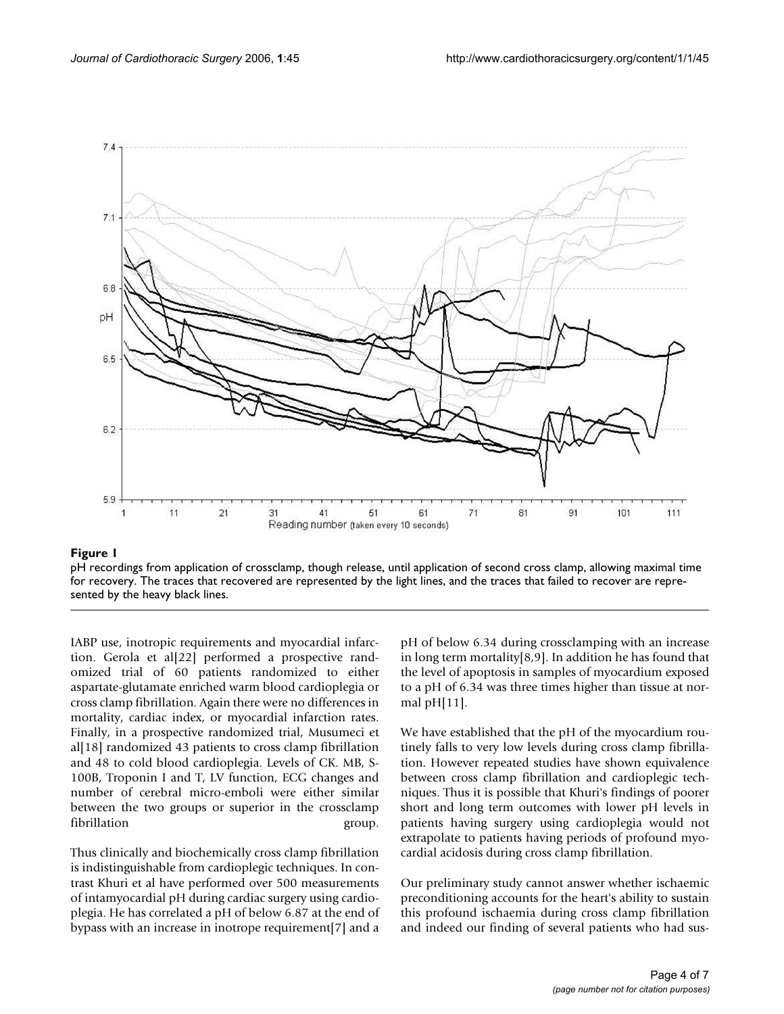

#### pH recordings from application of crossclamp, though release, for recovery **Figure 1** until application of second cross clamp, allowing maximal time

pH recordings from application of crossclamp, though release, until application of second cross clamp, allowing maximal time for recovery. The traces that recovered are represented by the light lines, and the traces that failed to recover are represented by the heavy black lines.

IABP use, inotropic requirements and myocardial infarction. Gerola et al[22] performed a prospective randomized trial of 60 patients randomized to either aspartate-glutamate enriched warm blood cardioplegia or cross clamp fibrillation. Again there were no differences in mortality, cardiac index, or myocardial infarction rates. Finally, in a prospective randomized trial, Musumeci et al[18] randomized 43 patients to cross clamp fibrillation and 48 to cold blood cardioplegia. Levels of CK. MB, S-100B, Troponin I and T, LV function, ECG changes and number of cerebral micro-emboli were either similar between the two groups or superior in the crossclamp fibrillation group.

Thus clinically and biochemically cross clamp fibrillation is indistinguishable from cardioplegic techniques. In contrast Khuri et al have performed over 500 measurements of intamyocardial pH during cardiac surgery using cardioplegia. He has correlated a pH of below 6.87 at the end of bypass with an increase in inotrope requirement[7] and a pH of below 6.34 during crossclamping with an increase in long term mortality[8,9]. In addition he has found that the level of apoptosis in samples of myocardium exposed to a pH of 6.34 was three times higher than tissue at normal pH[11].

We have established that the pH of the myocardium routinely falls to very low levels during cross clamp fibrillation. However repeated studies have shown equivalence between cross clamp fibrillation and cardioplegic techniques. Thus it is possible that Khuri's findings of poorer short and long term outcomes with lower pH levels in patients having surgery using cardioplegia would not extrapolate to patients having periods of profound myocardial acidosis during cross clamp fibrillation.

Our preliminary study cannot answer whether ischaemic preconditioning accounts for the heart's ability to sustain this profound ischaemia during cross clamp fibrillation and indeed our finding of several patients who had sus-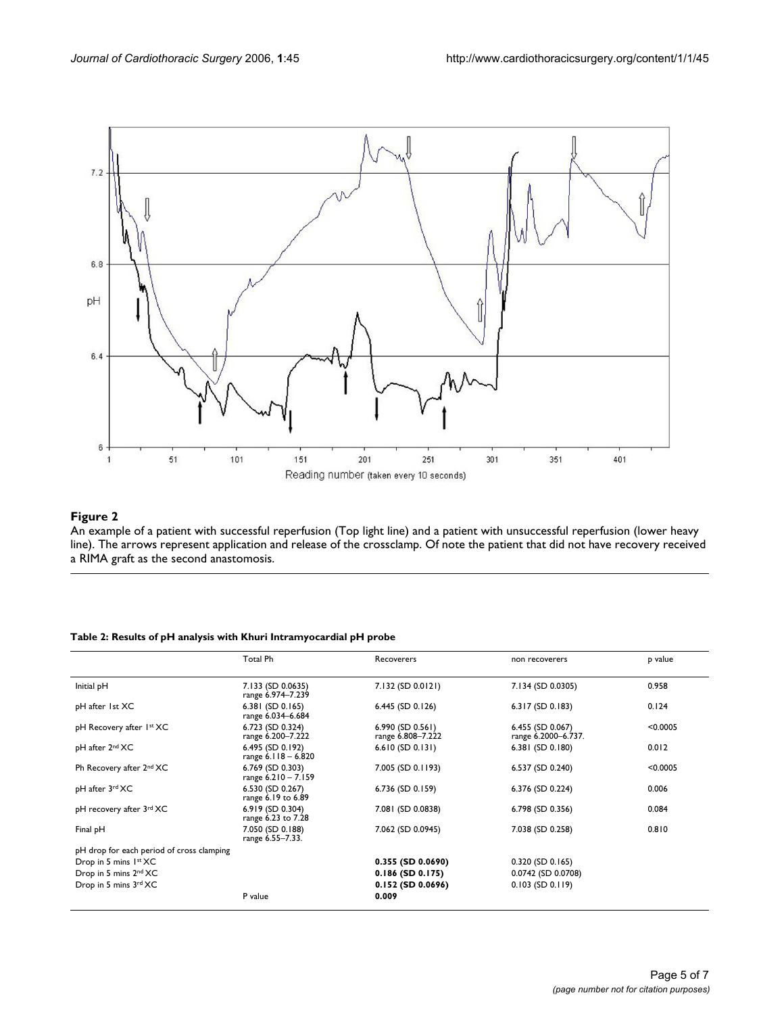

#### An example of a patient with successful re line) **Figure 2** perfusion (Top light line) and a patient with unsuccessful reperfusion (lower heavy

An example of a patient with successful reperfusion (Top light line) and a patient with unsuccessful reperfusion (lower heavy line). The arrows represent application and release of the crossclamp. Of note the patient that did not have recovery received a RIMA graft as the second anastomosis.

#### **Table 2: Results of pH analysis with Khuri Intramyocardial pH probe**

|                                           | Total Ph                                  | Recoverers                              | non recoverers                          | p value  |
|-------------------------------------------|-------------------------------------------|-----------------------------------------|-----------------------------------------|----------|
| Initial pH                                | 7.133 (SD 0.0635)<br>range 6.974-7.239    | 7.132 (SD 0.0121)                       | 7.134 (SD 0.0305)                       | 0.958    |
| pH after 1st XC                           | $6.381$ (SD 0.165)<br>range 6.034-6.684   | $6.445$ (SD 0.126)                      | $6.317$ (SD 0.183)                      | 0.124    |
| pH Recovery after 1st XC                  | 6.723 (SD 0.324)<br>range 6.200-7.222     | $6.990$ (SD 0.561)<br>range 6.808-7.222 | 6.455 (SD 0.067)<br>range 6.2000-6.737. | < 0.0005 |
| pH after 2 <sup>nd</sup> XC               | 6.495 (SD 0.192)<br>range $6.118 - 6.820$ | $6.610$ (SD 0.131)                      | 6.381 (SD 0.180)                        | 0.012    |
| Ph Recovery after 2nd XC                  | 6.769 (SD 0.303)<br>range $6.210 - 7.159$ | 7.005 (SD 0.1193)                       | 6.537 (SD 0.240)                        | < 0.0005 |
| pH after 3rd XC                           | 6.530 (SD 0.267)<br>range 6.19 to 6.89    | $6.736$ (SD 0.159)                      | 6.376 (SD 0.224)                        | 0.006    |
| pH recovery after 3rd XC                  | 6.919 (SD 0.304)<br>range 6.23 to 7.28    | 7.081 (SD 0.0838)                       | 6.798 (SD 0.356)                        | 0.084    |
| Final pH                                  | 7.050 (SD 0.188)<br>range 6.55-7.33.      | 7.062 (SD 0.0945)                       | 7.038 (SD 0.258)                        | 0.810    |
| pH drop for each period of cross clamping |                                           |                                         |                                         |          |
| Drop in 5 mins 1st XC                     |                                           | $0.355$ (SD $0.0690$ )                  | $0.320$ (SD $0.165$ )                   |          |
| Drop in 5 mins 2nd XC                     |                                           | $0.186$ (SD $0.175$ )                   | 0.0742 (SD 0.0708)                      |          |
| Drop in 5 mins 3rd XC                     |                                           | $0.152$ (SD $0.0696$ )                  | $0.103$ (SD $0.119$ )                   |          |
|                                           | P value                                   | 0.009                                   |                                         |          |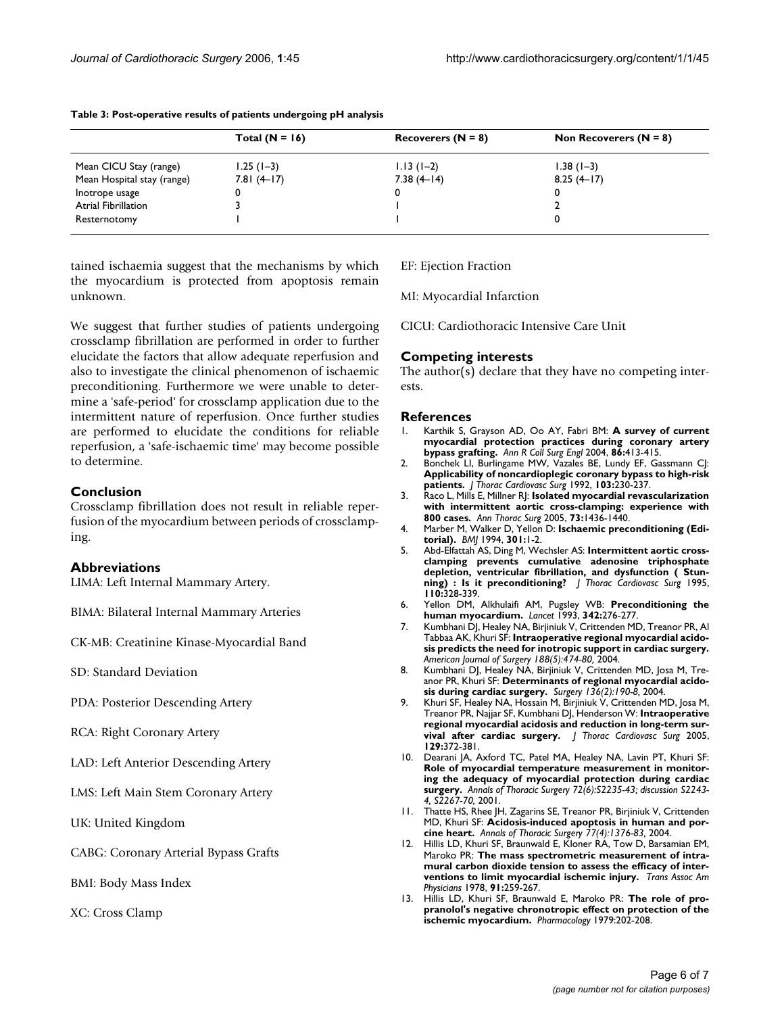|                            | Total $(N = 16)$ | Recoverers $(N = 8)$ | Non Recoverers $(N = 8)$ |
|----------------------------|------------------|----------------------|--------------------------|
| Mean CICU Stay (range)     | $1.25(1-3)$      | $1.13(1-2)$          | $1.38(1-3)$              |
| Mean Hospital stay (range) | $7.81(4-17)$     | $7.38(4-14)$         | $8.25(4-17)$             |
| Inotrope usage             |                  |                      | 0                        |
| Atrial Fibrillation        |                  |                      |                          |
| Resternotomy               |                  |                      |                          |

**Table 3: Post-operative results of patients undergoing pH analysis**

tained ischaemia suggest that the mechanisms by which the myocardium is protected from apoptosis remain unknown.

We suggest that further studies of patients undergoing crossclamp fibrillation are performed in order to further elucidate the factors that allow adequate reperfusion and also to investigate the clinical phenomenon of ischaemic preconditioning. Furthermore we were unable to determine a 'safe-period' for crossclamp application due to the intermittent nature of reperfusion. Once further studies are performed to elucidate the conditions for reliable reperfusion, a 'safe-ischaemic time' may become possible to determine.

#### **Conclusion**

Crossclamp fibrillation does not result in reliable reperfusion of the myocardium between periods of crossclamping.

#### **Abbreviations**

LIMA: Left Internal Mammary Artery.

BIMA: Bilateral Internal Mammary Arteries

CK-MB: Creatinine Kinase-Myocardial Band

SD: Standard Deviation

PDA: Posterior Descending Artery

RCA: Right Coronary Artery

LAD: Left Anterior Descending Artery

LMS: Left Main Stem Coronary Artery

UK: United Kingdom

CABG: Coronary Arterial Bypass Grafts

BMI: Body Mass Index

XC: Cross Clamp

EF: Ejection Fraction

MI: Myocardial Infarction

CICU: Cardiothoracic Intensive Care Unit

### **Competing interests**

The author(s) declare that they have no competing interests.

#### **References**

- 1. Karthik S, Grayson AD, Oo AY, Fabri BM: **[A survey of current](http://www.ncbi.nlm.nih.gov/entrez/query.fcgi?cmd=Retrieve&db=PubMed&dopt=Abstract&list_uids=15527576) [myocardial protection practices during coronary artery](http://www.ncbi.nlm.nih.gov/entrez/query.fcgi?cmd=Retrieve&db=PubMed&dopt=Abstract&list_uids=15527576) [bypass grafting.](http://www.ncbi.nlm.nih.gov/entrez/query.fcgi?cmd=Retrieve&db=PubMed&dopt=Abstract&list_uids=15527576)** *Ann R Coll Surg Engl* 2004, **86:**413-415.
- 2. Bonchek LI, Burlingame MW, Vazales BE, Lundy EF, Gassmann CJ: **[Applicability of noncardioplegic coronary bypass to high-risk](http://www.ncbi.nlm.nih.gov/entrez/query.fcgi?cmd=Retrieve&db=PubMed&dopt=Abstract&list_uids=1735988) [patients.](http://www.ncbi.nlm.nih.gov/entrez/query.fcgi?cmd=Retrieve&db=PubMed&dopt=Abstract&list_uids=1735988)** *J Thorac Cardiovasc Surg* 1992, **103:**230-237.
- 3. Raco L, Mills E, Millner RJ: **Isolated myocardial revascularization with intermittent aortic cross-clamping: experience with 800 cases.** *Ann Thorac Surg* 2005, **73:**1436-1440.
- 4. Marber M, Walker D, Yellon D: **Ischaemic preconditioning (Editorial).** *BMJ* 1994, **301:**1-2.
- 5. Abd-Elfattah AS, Ding M, Wechsler AS: **[Intermittent aortic cross](http://www.ncbi.nlm.nih.gov/entrez/query.fcgi?cmd=Retrieve&db=PubMed&dopt=Abstract&list_uids=7637350)[clamping prevents cumulative adenosine triphosphate](http://www.ncbi.nlm.nih.gov/entrez/query.fcgi?cmd=Retrieve&db=PubMed&dopt=Abstract&list_uids=7637350) depletion, ventricular fibrillation, and dysfunction ( Stun[ning\) : Is it preconditioning?](http://www.ncbi.nlm.nih.gov/entrez/query.fcgi?cmd=Retrieve&db=PubMed&dopt=Abstract&list_uids=7637350)** *J Thorac Cardiovasc Surg* 1995, **110:**328-339.
- 6. Yellon DM, Alkhulaifi AM, Pugsley WB: **[Preconditioning the](http://www.ncbi.nlm.nih.gov/entrez/query.fcgi?cmd=Retrieve&db=PubMed&dopt=Abstract&list_uids=8101304) [human myocardium.](http://www.ncbi.nlm.nih.gov/entrez/query.fcgi?cmd=Retrieve&db=PubMed&dopt=Abstract&list_uids=8101304)** *Lancet* 1993, **342:**276-277.
- 7. Kumbhani DJ, Healey NA, Birjiniuk V, Crittenden MD, Treanor PR, Al Tabbaa AK, Khuri SF: **Intraoperative regional myocardial acidosis predicts the need for inotropic support in cardiac surgery.** *American Journal of Surgery 188(5):474-80,* 2004.
- 8. Kumbhani DJ, Healey NA, Birjiniuk V, Crittenden MD, Josa M, Treanor PR, Khuri SF: **Determinants of regional myocardial acidosis during cardiac surgery.** *Surgery 136(2):190-8,* 2004.
- 9. Khuri SF, Healey NA, Hossain M, Birjiniuk V, Crittenden MD, Josa M, Treanor PR, Najjar SF, Kumbhani DJ, Henderson W: **[Intraoperative](http://www.ncbi.nlm.nih.gov/entrez/query.fcgi?cmd=Retrieve&db=PubMed&dopt=Abstract&list_uids=15678049) [regional myocardial acidosis and reduction in long-term sur](http://www.ncbi.nlm.nih.gov/entrez/query.fcgi?cmd=Retrieve&db=PubMed&dopt=Abstract&list_uids=15678049)[vival after cardiac surgery.](http://www.ncbi.nlm.nih.gov/entrez/query.fcgi?cmd=Retrieve&db=PubMed&dopt=Abstract&list_uids=15678049)** *J Thorac Cardiovasc Surg* 2005, **129:**372-381.
- 10. Dearani JA, Axford TC, Patel MA, Healey NA, Lavin PT, Khuri SF: **Role of myocardial temperature measurement in monitoring the adequacy of myocardial protection during cardiac surgery.** *Annals of Thoracic Surgery 72(6):S2235-43; discussion S2243- 4, S2267-70,* 2001.
- 11. Thatte HS, Rhee JH, Zagarins SE, Treanor PR, Birjiniuk V, Crittenden MD, Khuri SF: **Acidosis-induced apoptosis in human and porcine heart.** *Annals of Thoracic Surgery 77(4):1376-83,* 2004.
- 12. Hillis LD, Khuri SF, Braunwald E, Kloner RA, Tow D, Barsamian EM, Maroko PR: **[The mass spectrometric measurement of intra](http://www.ncbi.nlm.nih.gov/entrez/query.fcgi?cmd=Retrieve&db=PubMed&dopt=Abstract&list_uids=754393)[mural carbon dioxide tension to assess the efficacy of inter](http://www.ncbi.nlm.nih.gov/entrez/query.fcgi?cmd=Retrieve&db=PubMed&dopt=Abstract&list_uids=754393)[ventions to limit myocardial ischemic injury.](http://www.ncbi.nlm.nih.gov/entrez/query.fcgi?cmd=Retrieve&db=PubMed&dopt=Abstract&list_uids=754393)** *Trans Assoc Am Physicians* 1978, **91:**259-267.
- 13. Hillis LD, Khuri SF, Braunwald E, Maroko PR: **[The role of pro](http://www.ncbi.nlm.nih.gov/entrez/query.fcgi?cmd=Retrieve&db=PubMed&dopt=Abstract&list_uids=523510)[pranolol's negative chronotropic effect on protection of the](http://www.ncbi.nlm.nih.gov/entrez/query.fcgi?cmd=Retrieve&db=PubMed&dopt=Abstract&list_uids=523510) [ischemic myocardium.](http://www.ncbi.nlm.nih.gov/entrez/query.fcgi?cmd=Retrieve&db=PubMed&dopt=Abstract&list_uids=523510)** *Pharmacology* 1979:202-208.